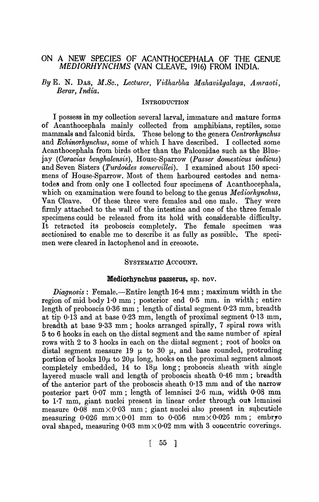## ON A NEW SPECIES OF ACANTHOCEPHALA OF THE GENUE *MEDIORHYNCHMS* (VAN CLEAVE, 1916) FROM INDIA.

*By* E. N. DAS, *M.Sc., Lecturer, Vidharbha Mahavidyalaya, A'mraoti, Berar, India.* 

## INTRODUCTION

I possess in my collection several larval, immature and mature forms of Acanthocephala mainly collected from amphibians, reptiles, some mammals and falconid birds. These belong to the genera *Oentrorhynchus*  and *Echinorhynchus,* some of which I have described. I collected some Acanthocephala from birds other than the Falconidae such as the Bluejay *(Ooracias benghalensis)*, IIouse-Sparrow *(Passer dornesticus indicus)*  and Seven Sisters *(Turdoides somervillei).* I examined about 150 specimens of House-Sparrow. Most of them harboured cestodes and nematodes and from only one I collected four specimens of Acanthocephala, which on examination were found to belong to the genus *Mediorhynchus,*  Van Cleave. Of these three were females and one male. They were firmly attached to the wall of the intestine and one of the three female specimens could be released from its hold with considerable difficulty. It retracted its proboscis completely. The female specimen was sectionised to enable me to describe it as fully as possible. The specimen were cleared in lactophenol and in creosote.

## SYSTEMATIC ACCOUNT.

## Mediorhynchus passerus, sp. nov.

*Diagnosis:* Female.-Entire length 16·4 mm ; maximum width in the region of mid body 1.0 mm; posterior end 0.5 mm. in width; entire length of proboscis 0·36 mm; length of distal segment 0·23 mm, breadth at tip 0·13 and at base 0·23 mm, length of proximal segment 0·13 mm, breadth at base 9·33 mm; hooks arranged spirally, 7 spiral rows with 5 to 6 hooks in each on the distal segment and the same number of spira1 rows with 2 to 3 hooks in each on the distal segment; root of hooks on distal segment measure 19  $\mu$  to 30  $\mu$ , and base rounded, protruding portion of hooks  $10\mu$  to  $20\mu$  long, hooks on the proximal segment almost completely embedded, 14 to  $18\mu$  long; proboscis sheath with single layered muscle wall and length of proboscis sheath 0'46 mm; breadth of the anterior part of the proboscis sheath 0·13 mm and of the narrow posterior part  $0.07$  mm; length of lemnisci  $2.6$  mm, width  $0.08$  mm to 1.7 mm, giant nuclei present in linear order through out lemnisei measure  $0.08$  mm  $\times 0.03$  mm; giant nuclei also present in subcuticle measuring  $0.026$  mm  $\times 0.01$  mm to  $0.056$  mm  $\times 0.026$  mm; embryo oval shaped, measuring  $0.03 \text{ mm} \times 0.02 \text{ mm}$  with 3 concentric coverings.

[ 55 ]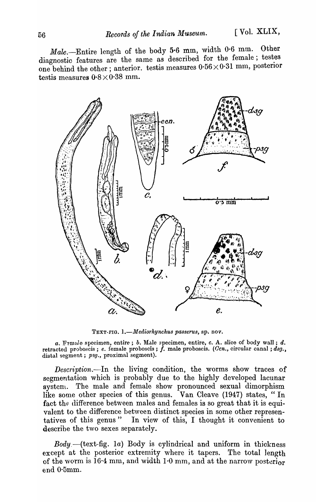*Male.-Entire* length of the body 5·6 mm, width 0·6 mm. Other diagnostic features are the same as described for the female; testes one behind the other; anterior. testis measures  $0.56 \times 0.31$  mm, posterior testis measures  $0.8\times0.38$  mm.



TEXT-FIG. 1.-Mediorhynchus passerus, sp. nov.

 $a.$  Female specimen, entire;  $b.$  Male specimen, entire,  $c.$  A. slice of body wall;  $d.$ retracted proboscis; e. female proboscis;  $\dot{f}$ . male proboscis. (Ccn., circular canal; dsg., distal segment; *psg.,* proximal segment).

*Description.*-In the living condition, the worms show traces of segmentation which is probably due to the highly developed lacunar system. The male and female show pronounced sexual dimorphism like some other species of this genus. Van Cleave (1947) states, "In fact the difference between males and females is so great that it is equivalent to the difference between distinct species in some other representatives of this genus" In view of this, I thought it convenient to describe the two sexes separately.

*Body.-(text-fig.* 1a) Body is cylindrical and uniform in thickness except at the posterior extremity where it tapers. The total length of the worm is 16·4 mm, and width  $1·0$  mm, and at the narrow posterior end O·5mm.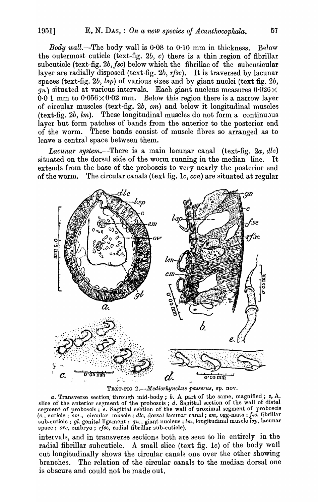*Body wall*.--The body wall is  $0.08$  to  $0.10$  mm in thickness. Below the outermost cuticle (text-fig.  $2b$ , c) there is a thin region of fibrillar subcuticle (text-fig. 2b, fsc) below which the fibrillae of the subcuticular layer are radially disposed (text-fig. 2b, rfsc). It is traversed by lacunar spaces (text-fig. *2b, lsp)* of various sizes and by giant nuclei (text fig. *2b,*   $g_n$ ) situated at various intervals. Each giant nucleus measures  $0.026 \times$  $0.01$  mm to  $0.056 \times 0.02$  mm. Below this region there is a narrow layer of circular muscles (text-fig. *2b, cm)* and below it longitudinal muscles  $(\text{text-fig. } 2b, lm)$ . These longitudinal muscles do not form a continuous layer but form patches of bands from the anterior to the posterior end of the worm. These bands consist of muscle fibres so arranged as to leave a central space between them.

*Lacunar system.-There* is a main lacunar canal (text-fig. *2a, dlo)*  situated on the dorsal side of the worm running in the median line. extends from the base of the proboscis to very nearly the posterior end of the worm. The circular canals (text fig. *Ie, ecn)* are situated at regular



TEXT-FIG 2.-Mediorhynchus passerus, sp. nov.

a. Transverse section through mid-body; *b*. A part of the same, magnified; c, A. slice of the anterior segment of the proboscis; d. Sagittal section of the wall of distal segment of proboscis; *e.* Sagittal section of the wall of proximal segment of proboscis *(c.,* cuticle; *em.,* circular muscle; *dlc,* dorsal lacunar canal; *em,* egg-mass; *fsc.* fibrIllar sub-cuticle; *gl.* genital ligament ; *gn.,* giant nucleus; *lm,* longitudinal muscle *lsp,* lacunar space; *orv,* embryo; *rlsc,* radial fibrillar sub-cuticle).

intervals, and in transverse sections both are seen to lie entirely in the radial fibrillar subcuticle. A small slice (text fig. 1c) of the body wall cut longitudinally shows the circular canals one over the other showing branches. The relation of the circular canals to the median dorsal one is obscure and could not be made out.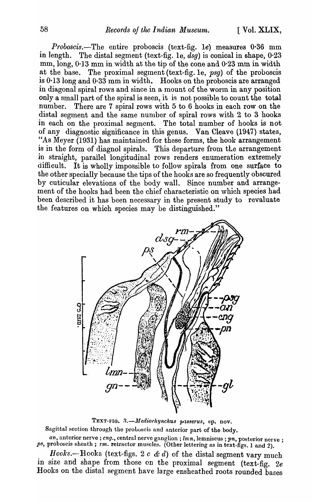*Proboscis.-The* entire proboscis (text-fig. *Ie)* measures 0-36 mm in 1ength. The distal segment (text-fig. Ie, *dsg)* is conical in shape, 0·23 mm, long, 0·13 mm in width at the tip of the cone and 0·23 mm in width at the base. The proximal segment (text-fig. Ie, *psg)* of the proboscis is  $0.13$  long and  $0.33$  mm in width. Hooks on the proboscis are arranged in diagonal spiral rows and since in a mount of the worm in any position only a small part of the spiral is seen, it is not possible to count the total number. There are 7 spiral rows with 5 to 6 hooks in each row on the distal segment and the same number of spiral rows with 2 to 3 hooks in each on the proximal segment. The total number of hooks is not of any diagnostic significance in this genus. Van Cleave (1947) states, "As Meyer (1931) has maintained for these forms, the hook arrangement is in the form of diagnol spirals. This departure from the arrangement in straight, parallel longitudinal rows renders enumeration extremely difficult. It is wholly impossible to follow spirals from one surface to the other specially because the tips of the hooks are so frequently obscured by cuticular elevations of the body wall. Since number and arrangement of the hooks had been the chief characteristic on which species had been described it has been necessary in the present study to revaluate the features on which species may be distinguished."



TEXT-FIG. 3.-Mediorhynchus passerus, sp. nov. Sagittal section through the proboscis and anterior part of the body.

 $an$ , anterior nerve; *cng*., central nerve ganglion; *lmn*, lemniscus; pn, posterior nerve; ps, proboscis sheath; rm. retractor muscles. (Other lettering as in text-figs. 1 and 2).

Hooks.-Hooks (text-figs. 2 *c & d*) of the distal segment vary much in size and shape from those on the proximal segment (text-fig. *2e*  Hooks on the distal segment have large ensheathed roots rounded bases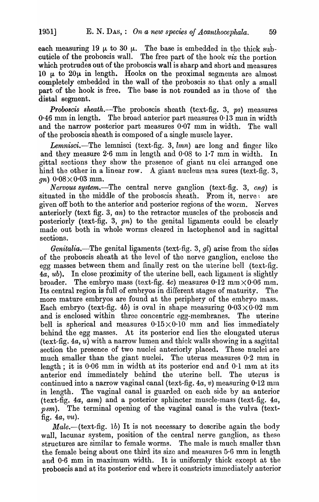each measuring 19  $\mu$  to 30  $\mu$ . The base is embedded in the thick subcuticle of the proboscis wall. The free part of the hook *viz* the portion which protrudes out of the proboscis wall is sharp and short and measures 10  $\mu$  to 20 $\mu$  in length. Hooks on the proximal segments are almost completely embedded in the wall of the proboscis so that only a small part of the hook is free. The base is not rounded as in those of the distal segment.

*Proboscis sheath.*-The proboscis sheath (text-fig. 3, ps) measures  $0.46$  mm in length. The broad anterior part measures  $0.13$  mm in width and the narrow posterior part measures 0·07 mm in width. The wall of the proboscis sheath is composed of a single muscle layer.

*Lemnisci.-The* lemnisci (text-fig. 3, *lmn)* are long and finger like and they measure 2·6 mm in length and 0·08 to 1·7 mm in width. In gittal sections they show the presence of giant nu clei arranged one hind the other in a linear row. A giant nucleus mea sures (text-fig. 3, *gn*)  $0.08 \times 0.03$  mm.

*Nervous system.-The* central nerve ganglion (text-fig. 3, *eng)* is situated in the middle of the proboscis sheath. From it, nerve are given off both to the anterior and posterior regions of the worm. Nerves anteriorly (text fig. 3, *an)* to the retractor muscles of the proboscis and posteriorly (text-fig. 3,  $pn$ ) to the genital ligaments could be clearly made out both in whole worms cleared in lactophenol and in sagittal sections.

*Genitalia.-The* genital ligaments (text-fig. 3, *gl)* arise from the sides of the proboscis sheath at the level of the nerve ganglion, enclose the egg masses between them and finally rest on the uterine bell (text-fig. *4a, ub).* In close proximity of the uterine bell, each ligament is slightly broader. The embryo mass (text-fig. 4c) measures  $0.12 \text{ mm} \times 0.06 \text{ mm}$ . Its central region is full of embryos in different stages of maturity. more mature embryos are found at the periphery of the embryo mass. Each embryo (text-fig. 4b) is oval in shape measuring  $0.03\times0.02$  mm and is enclosed within three concentric egg-membranes. The uterine bell is spherical and measures  $0.15 \times 0.10$  mm and lies immediately behind the egg masses. At its posterior end lies the elongated uterus  $(\text{text-fig. }4a, u)$  with a narrow lumen and thick walls showing in a sagittal section the presence of two nuclei anteriorly placed. These nuclei are much smaller than the giant nuclei. The uterus measures  $0.2$  mm in length; it is 0·06 mm in width at its posterior end and 0·1 mm at its anterior end immediately behind the uterine bell. The uterus is continued into a narrow vaginal canal (text-fig.  $4a, v$ ) measuring  $0.12 \text{ mm}$ in length. The vaginal canal is guarded on each side by an anterior (text-fig. *4a, asm)* and a posterior sphincter muscle-mass (text-fig. *4a,*  psm). The terminal opening of the vaginal canal is the vulva (textfig. *4a, vu).* 

Male.-(text-fig. 1b) It is not necessary to describe again the body wall, lacunar system, position of the central nerve ganglion, as these structures are similar to female worms. The male is much smaller than the female being about one third its size and measures 5·6 mm in length and 0·6 mm in maximum width. It is uniformly thick except at the proboscis and at its posterior end where it constricts immediately anterior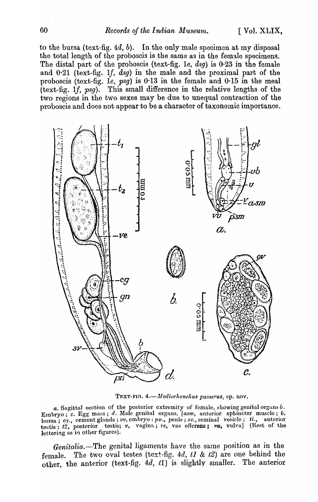to the bursa (text-fig.  $4d, b$ ). In the only male specimen at my disposal the total length of the proboscis is the same as in the female speeimens. The distal part of the proboscis (text-fig. Ie, *dsg)* is 0-23 in the female and 0·21 (text-fig. *If, dsg)* in the male and the proximal part of the proboscis (text-fig. Ie, *psg)* is 0·13 in the female and 0-15 in the meal (text-fig. *1j, psg).* This small difference in the relative lengths of the two regions in the two sexes may be due to unequal contraction of the proboscis and does not appear to be a character of taxonomic importance.



TEXT-FIG. 4.-Mediorhynchus passerus, sp. nov.

a. Sagittal section of the posterior extremity of fomale, showing genital organs *b*. Embryo; *c. Egg mass; d. Male genital organs. <i>[asm, anterior sphincter muscle; b.* bursa; cq., cement glands; ov, embryo: pn., penis; sv., seminal vesicle; *ti.*, anterior testis; *t2*, posterior testis; v, vagina; re, vas effcrens; m, vulva] (Rest of the lettering as in other figures).

*Genitalia.*-The genital ligaments have the same position as in the female. The two oval testes (text-fig.  $4d$ ,  $t1 \& t2$ ) are one behind the other, the anterior (text-fig. *4d, t1)* is slightly smaller. The anterior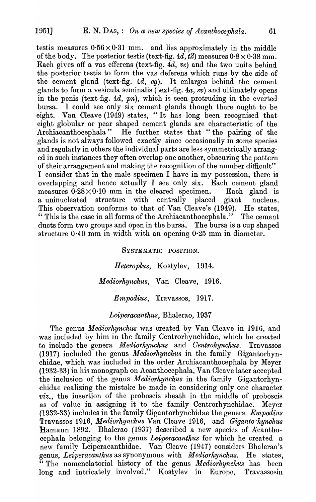testis measures  $0.56 \times 0.31$  mm. and lies approximately in the middle of the body. The posterior testis (text-fig.  $4d, t2$ ) measures  $0.8 \times 0.38$  mm. Each gives off a vas efferens (text-fig.  $4d$ ,  $ve$ ) and the two unite behind the posterior testis to form the vas deferens which runs by the side of the cement gland (text-fig. *4d, cg).* It enlarges behind the cement glands to form a vesicula seminalis (text-fig. *4a, sv)* and ultimately opens in the penis (text-fig. *4d, pn),* which is seen protruding in the everted bursa. I could see only six cement glands though there ought to be eight. Van Cleave (1949) states, "It has long been recognised that eight globular or pear shaped cement glands are characteristic of the Archiacanthocephala" He further states that "the pairing of the He further states that "the pairing of the glands is not always followed exactly since occasionally in some species and regularly in others the individual parts are less symmetrically arranged in such instances they often overlap one another, obscuring the pattern of their arrangement and making the recognition of the number difficult" I consider that in the male specimen I have in my possession, there is overlapping and hence actually  $I$  see only six. Each cement gland measures  $0.28 \times 0.10$  mm in the cleared specimen. Each gland is a uninucleated structure with centrally placed giant nucleus. This observation conforms to that of Van Cleave's (1949). He states, " This is the case in all forms of the Archiacanthocephala." The cement ducts form two groups and open in the bursa. The bursa is a cup shaped structure  $0.40$  mm in width with an opening  $0.25$  mm in diameter.

> SYSTEMATIC POSITION. *Heteroplu,s,* Kostylev, 1914. *Mediorhynchus,* Van Cleave, 1916. *Empodius, Travassos, 1917.*

## *Leiperacanthus,* Bhalerao, 1937

The genus *Mediorhynchus* was created by Van Cleave in 1916, and was included by him in the family Centrorhynchidae, which he created to include the genera *Mediorhynchus* and *Oentrohynchus.* Travassos (1917) included the genus *Mediorhynchus* in the family Gigantorhynchidae, which was included in the order Archiacanthocephala by Meyer (1932-33) in his monograph on Acanthocephala, Van Cleave later accepted the inclusion of the genus *Mediorhynchus* in the family Gigantorhynchidae realizing the mistake he made in considering only one character *viz.,* the insertion of the proboscis sheath in the middle of proboscis as of value in assigning it to the family Centrorhynchidae. Meyer (1932-33) includes in the family Gigantorhynchidae the genera  $Empodius$ 1.'ravassos 1916, *Mediorhynch,us* Van Cleave 1916, and *Giganto 'hynchus*  Hamann 1892. Bhalerao (1937) described a new species of Acanthocephala belonging to the genus Leiperacanthus for which he created a new family Leiperacanthidae. Van Cleave (1947) considers Bhalerao's genus, *Leiperacanthus* as synonymous with *Mediorhynchus*. He states, "The nomencla torial history of the genus *Mediorkynchus* has been long and intricately involved." Kostylev in Europe, Travassosin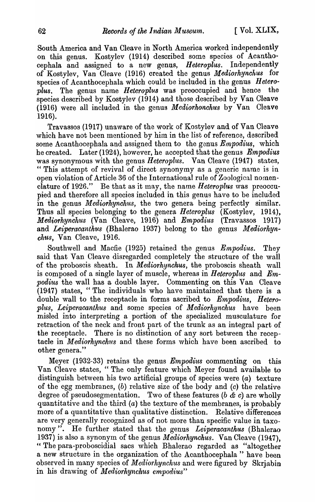South America and Van Cleave in North America worked independently on this genus. Kostylev (1914) described some species of Acanthocephala and assigned to a new genus, *Heteroplus.* Independently of Kostylev, Van Cleave (1916) created the genus *Mediorhynchus* for species of Acanthocephala which could be included in the genus *Heteroplus.* The genus name *Heteroplu8* was preoccupied and hence the species described by Kostylev (1914) and those described by Van Cleave (1916) were all included in the genus *Mediorkonchus* by Van Cleave 1916).

Travassos (1917) unaware of the work of Kostylev and of Van Cleave which have not been mentioned by him in the list of reference, described some Acanthocephala and assigned them to the genus *Empodius*, which he created. Later (1924), however, he accepted that the genus *Empodius*  was synonymous with the genus *Heteroplus.* Van Cleave (1947) states, " This attempt of revival of direct synonymy as a generic name is in open violation of Article 36 of the International rule of Zoological nomenclature of 1926." Be that as it may, the name *Heteroplus* was preoccupied and therefore all species included in this genus have to be included in the genus *Mediorhynchus*, the two genera being perfectly similar. Thus all species belonging to the genera *Heteroplus* (Kostylev, 1914), *Mediorhynchus* (Van Cleave, 1916) and *Empodius* (Travassos 1917) and *Leiperacantkus* (Bhalerao 1937) belong to the genus *Mediorkynchus,* Van Cleave, 1916.

Southwell and Macfie (1925) retained the genus *Empodius.* They said that Van Cleave disregarded completely the structure of the wall of the proboscis sheath. In *Mediorhynchus*, the proboscis sheath wall is composed of a single layer of muscle, whereas in *Heteroplus* and *Em*podius the wall has a double layer. Commenting on this Van Cleave (1947) states, "The individuals who have maintained that there is a double wall to the receptacle in forms ascribed to *Empodius*, *Heteroplus, Leiperacanthus* and some species of *Mediorhynchus* have been misled into interpreting a portion of the specialized musculature for retraction of the neck and front part of the trunk as an integral part of the receptacle. There is no distinction of any sort between the receptacle in *Mediorhynchus* and these forms which have been ascribed to other genera."

Meyer (1932-33) retains the genus *Empodius* commenting on this Van Cleave states, "The only feature which Meyer found available to distinguish between his two artificial groups of species were (a) texture of the egg membranes, (b) relative size of the body and (c) the relative degree of pseudosegmentation. Two of these features ( $b \& c$ ) are wholly quantitative and the third (a) the texture of the membranes, is probably more of a quantitative than qualitative distinction. Relative differences are very generally recognized as of not more than specific value in taxonomy". He further stated that the genus *Leiperacanthus* (Bhalerao 1937) is also a synonym of the genus *Mediorhynckus.* Van Cleave (1947), " The para-proboscidial sacs which Bhalerao regarded as "altogether" a new structure in the organization of the Acanthocephala" have been observed in many species of *Mediorhynchus* and were figured by Skrjabin in his drawing of *Mediorhynchus empodius*"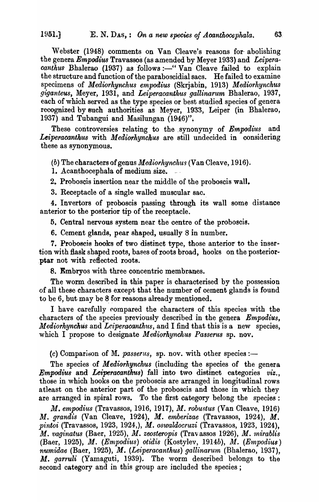Webster (1948) comments on Van Cleave's reasons for abolishing the genera *Empodius* Travassos (as amended by Meyer 1933) and *Leiperacanthus* Bhalerao (1937) as follows :- " Van Cleave failed to explain the structure and function of the paraboscidial sacs. He failed to examine specimens of *Mediorhynchus empodius* (Skrjabin, 1913) *Mediorhynckus giganteus,* Meyer, 1931, and *Leiperacanthus gallinarum* Bhalerao, 1937, each of which served as the type species or best studied species of genera recognized by such authorities as Meyer, 1933, Leiper (in Bhalerao, 1937) and Tubangui and Masilungan (1946)".

These controversies relating to the synonymy of *Empodius* and Leiperacanthus with *Mediorhynchus* are still undecided in considering these as synonymous.

(b) The characters of genus *Mediorky·nehus* (Van Cleave, 1916).

1. Acanthocephala of medium size.

2. Proboscis insertion near the middle of the proboscis wall.

3. Receptacle of a single walled muscular sac.

4. Invertors of proboscis passing through its wall some distance anterior to the posterior tip of the receptacle.

5, Central nervous system near the centre of the proboscis.

6. Cement glands, pear shaped, usually 8 in number.

7. Proboscis hooks of two distinct type, those anterior to the insertion with flask shaped roots, bases of roots broad, hooks on the posterior- .ptar not with reflected roots.

8. Embryos with three concentric membranes.

The worm described in this paper is characterised by the possession of all these characters except that the number of cement glands is found to be 6, but may be 8 for reasons already mentioned.

I have carefully compared the characters of this species with the characters of the species previously described in the genera *Empodius*, *Mediorhynchus* and *Leiperacanthus*, and I find that this is a new species, which I propose to designate *Mediorhynchus Passerus* sp. nov.

 $(c)$  Comparison of M. *passerus*, sp. nov. with other species:-

The species of *Mediorhynchus* (including the species of the genera *Empodius* and *Leiperacanthus*) fall into two distinct categories *viz.*, those in which hooks on the proboscis are arranged in longitudinal rows atleast on the anterior part of the proboscis and those in which they are arranged in spiral rows. To the first category belong the species:

*M. empodius* (Travassos, 1916, 1917), *M. robustus* (Van Cleave, 1916) M. grandis (Van Cleave, 1924), M. emberizae (Travassos, 1924), M. *pintoi* (Travassos, 1923, 1924,), *M. oswaldocruzi* (Travassos, 1923, 1924), M. *vaginatus* (Baer, 1925), M. zeosteropis (Travassos 1926), M. *mirablis* (Baer, 1925), *lJI. (Empodius) otidis* (Kostylev, *1914b), M. (Empodius) numidae* (Baer, 1925), *M.* (Leiperacanthus) gallinarum (Bhalerao, 1937), M. *garruli* (Yamaguti, 1939). The worm described belongs to the second category and in this group are included the species;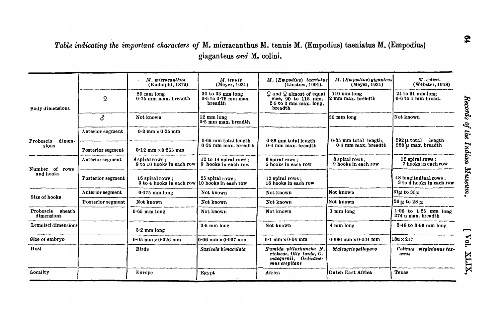# *Table indicating the important characters of* M. micracanthus M. tenuis M. (Empodius) taeniatus M. (Empodius) giaganteus *and* M. colini.

|                                   |                   | M. micracanthus<br>(Rudolphi, 1819)          | M.tenuis<br>(Meyer, 1931)                             | M. (Empodius) taeniatus<br>(Linstow, 1901).                                                | M. (Empodius) giganteus<br>(Meyer, 1931)         | M. colini.<br>(Webster, 1948)                     |
|-----------------------------------|-------------------|----------------------------------------------|-------------------------------------------------------|--------------------------------------------------------------------------------------------|--------------------------------------------------|---------------------------------------------------|
| Body dimensions                   | ç                 | $20 \text{ mm}$ long<br>0.75 mm max. breadth | 30 to 33 mm long<br>$0.5$ to $0.75$ mm max<br>breadth | $Q$ and $Q$ almost of equal<br>size, 90 to 115 mm.<br>$2.5$ to 3 mm max. long.<br>breadth  | $110 \text{ mm}$ long<br>2 mm max. breadth       | $24$ to $31$ mm long<br>$0.6$ to 1 mm broad.      |
|                                   | ය.                | Not known                                    | 12 mm long<br>$0.5$ mm max. breadth                   |                                                                                            | 35 mm long                                       | Not known                                         |
|                                   | Anterior segment  | $0.3$ mm $\times$ 0.25 mm                    |                                                       |                                                                                            |                                                  |                                                   |
| Proboscis<br>dimen-<br>sions      | Posterior segment | $0.12$ mm $\times$ 0.355 mm                  | $0.65$ mm total length<br>$0.35$ mm max. breadth      | $0.86$ mm total length<br>$0.4$ mm max. breadth                                            | $0.35$ mm total length.<br>$0.4$ mm max, breadth | length<br>$292 \mu$ total<br>288 µ max. breadth   |
| Number of<br>rows<br>and hooks    | Anterior segment  | 8 spiral rows;<br>9 to 10 hooks in each row  | 12 to 14 spiral rows;<br>9 hooks in each row          | 6 spiral rows;<br>5 hooks in each row                                                      | 8 spiral rows;<br>9 hooks in each row            | $12$ spiral rows;<br>7 hooks in each row          |
|                                   | Posterior segment | 16 spiral rows:<br>3 to 4 hooks in each row  | 25 spiral rows:<br>10 hooks in each row               | 12 spiral rows:<br>16 hooks in each row                                                    |                                                  | 48 longitudinal rows;<br>3 to 4 hooks in each row |
| Size of hooks                     | Anterior segment  | $0.175$ mm long                              | Not known                                             | Not known                                                                                  | Not known                                        | $31\mu$ to $35\mu$                                |
|                                   | Posterior segment | Not known                                    | Not known                                             | Not known                                                                                  | Not known                                        | $\left 26\,\mu\right.$ to $28\,\mu$               |
| Proboscis<br>sheath<br>dimensions |                   | $0.65$ mm long                               | Not known                                             | Not known                                                                                  | 1 mm long                                        | $1.08$ to $1.25$ mm long<br>274 u max. breadth    |
| Lemnisci dimensions               |                   | $3.2$ mm long                                | $3.5$ mm long                                         | Not known                                                                                  | 4 mm long                                        | $3.48$ to $3.56$ mm long                          |
| Size of embryo                    |                   | $0.05$ mm $\times$ 0.026 mm                  | l0∙06 mm×0∙037 mm                                     | $0.1$ mm $\times$ 0.04 mm                                                                  | $0.066$ mm $\times 0.034$ mm                     | $18u \times 217$                                  |
| Host                              |                   | <b>Birds</b>                                 | Saxicola bimaculata                                   | Numida ptilorhyncha N.<br>rickwae, Otis tarda, O.<br>macquenii, Oedicane-<br>mus crepitans | Maleagris gallopavo                              | <b>Colinus</b><br>virginianus tex-<br>anus        |
| Locality                          |                   | Europe                                       | Egypt                                                 | Africa                                                                                     | Dutch East Africa                                | <b>Texas</b>                                      |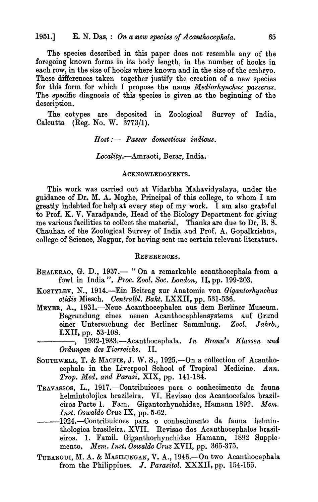The species described in this paper does not resemble any of the foregoing known forms in its body length, in the number of hooks in each row, in the size of hooks where known and in the size of the embryo. These differences taken together justify the creation of a new species for this form for which I propose the name *Mediorhynchus passerus.*  The specific diagnosis of this species is given at the beginning of the description.

The cotypes are deposited in Zoological Survey of India, Calcutta (Reg. No. W. 3773/1).

 $Host:$  *Passer domesticus indicus.* 

*Locality.-Amraoti,* Berar, India.

#### ACKNOWLEDGMENTS.

This work was carried out at Vidarbha Mahavidyalaya, under the guidance of Dr. M. A. Moghe, Principal of this college, to whom I am greatly indebted for help at every step of my work. I am also grateful to Prof. K. V. Varadpande, Head of the Biology Department for giving me various facilities to collect the material. Thanks are due to Dr. B. S. Chauhan of the Zoological Survey of India and Prof. A. Gopalkrishna, college of Science, Nagpur, for having sent me certain relevant literature.

## REFERENCES.

- BHALERAO, G. D., 1937.- " On a remarkable acanthocephala from a fowl in India". *Proc. Zool. Soc. London*, II, pp. 199-203.
- KOSTYLEV, N., 1914.<sup>-Ein</sup> Beitrag zur Anatomie von *Gigantorhynchus otidis* Miesch. *Oentralbl. Bakt.* LXXII. pp. 531-536.
- MEYER, A., 1931.-Neue Acanthocephalen aus dem Berliner Museum. Begrundung eines neuen Acanthocephlensystems auf Grund einer Untersuchung der Berliner Sammlung. *Zool. Jahrb.,*  LXII, pp. 53-108.

----, 1932-1933.-Acanthocephala. *In Bronn's Klassen untJ Ordungen des Tierreichs.* 

- SOUTHWELL, T. & MACFIE, J. W. S., 1925. On a collection of Acanthocephala in the Liverpool School of Tropical Medicine. *Ann. Trop. Med. and Parasi.* XIX, pp. 141-184.
- TRAVASSOS, L., 1917.—Contribuicoes para o conhecimento da fauna helmintolojica brazileira. VI. Revisao dos Acantocefalos brazileiros Parte 1. Fam. Gigantorhynchidae, Hamann 1892. Mem. I *nst, Oswaldo Oruz* IX, pp. 5-62.
- ---I924.-Contribuicoes para 0 conhecimento da fauna helminthologica brasileira. XVII. Revisao dos Acanthocephalos brasileiros. 1. Famil. Giganthorhynchidae Hamann, 1892 Supplemento. *Mem. [nst. Oswaldo Oruz* XVII, pp. 365-375.
- TUBANGUI, M. A. & MASILUNGAN, V. A., 1946.-- On two Acanthocephala from the Philippines. J. *Parasitol.* XXXII, pp. 154-155.